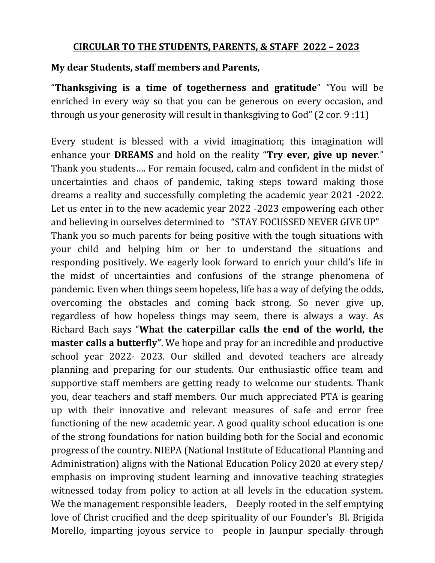## **CIRCULAR TO THE STUDENTS, PARENTS, & STAFF 2022 – 2023**

## **My dear Students, staff members and Parents,**

"**Thanksgiving is a time of togetherness and gratitude**" "You will be enriched in every way so that you can be generous on every occasion, and through us your generosity will result in thanksgiving to God" (2 cor. 9 :11)

Every student is blessed with a vivid imagination; this imagination will enhance your **DREAMS** and hold on the reality "**Try ever, give up never**." Thank you students…. For remain focused, calm and confident in the midst of uncertainties and chaos of pandemic, taking steps toward making those dreams a reality and successfully completing the academic year 2021 -2022. Let us enter in to the new academic year 2022 -2023 empowering each other and believing in ourselves determined to "STAY FOCUSSED NEVER GIVE UP" Thank you so much parents for being positive with the tough situations with your child and helping him or her to understand the situations and responding positively. We eagerly look forward to enrich your child's life in the midst of uncertainties and confusions of the strange phenomena of pandemic. Even when things seem hopeless, life has a way of defying the odds, overcoming the obstacles and coming back strong. So never give up, regardless of how hopeless things may seem, there is always a way. As Richard Bach says "**What the caterpillar calls the end of the world, the master calls a butterfly"**. We hope and pray for an incredible and productive school year 2022- 2023. Our skilled and devoted teachers are already planning and preparing for our students. Our enthusiastic office team and supportive staff members are getting ready to welcome our students. Thank you, dear teachers and staff members. Our much appreciated PTA is gearing up with their innovative and relevant measures of safe and error free functioning of the new academic year. A good quality school education is one of the strong foundations for nation building both for the Social and economic progress of the country. NIEPA (National Institute of Educational Planning and Administration) aligns with the National Education Policy 2020 at every step/ emphasis on improving student learning and innovative teaching strategies witnessed today from policy to action at all levels in the education system. We the management responsible leaders, Deeply rooted in the self emptying love of Christ crucified and the deep spirituality of our Founder's Bl. Brigida Morello, imparting joyous service to people in Jaunpur specially through